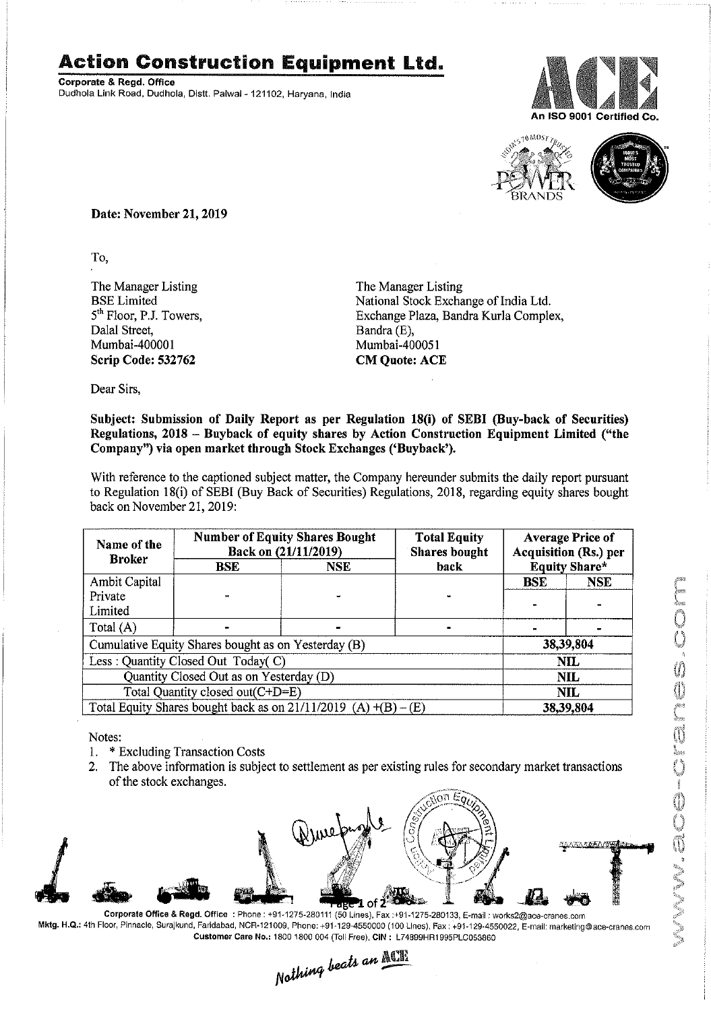## Action Construction **Equipment** Ltd..

Corporate & Regd. Office Dudhola Link Road, Dudhola, Distt. Palwal- 121102, Haryana, India





Date: November 21, 2019

To,

The Manager Listing BSE Limited *5th* Floor, PJ. Towers, Dalal Street, Mumbai-400001 Scrip Code: 532762

The Manager Listing National Stock Exchange of India Ltd. Exchange Plaza, Bandra Kurla Complex, Bandra (E), Mumbai~400051 CM Quote: ACE

Dear Sirs,

## Subject: Submission of Daily Report as per Regulation 18(i) of SEBI (Buy-back of Securities) Regulations, 2018 - Buyback of equity shares by Action Construction Equipment Limited ("the Company") via open market through Stock Exchanges ('Buyback').

With reference to the captioned subject matter, the Company hereunder submits the daily report pursuant to Regulation 18(i) of SEBI (Buy Back of Securities) Regulations, 2018, regarding equity shares bought back on November 21, 2019:

| Name of the<br><b>Broker</b>                                      | <b>Number of Equity Shares Bought</b><br>Back on (21/11/2019) |            | <b>Total Equity</b><br><b>Shares</b> bought | <b>Average Price of</b><br><b>Acquisition (Rs.) per</b> |            |  |
|-------------------------------------------------------------------|---------------------------------------------------------------|------------|---------------------------------------------|---------------------------------------------------------|------------|--|
|                                                                   | BSE                                                           | <b>NSE</b> | back                                        | <b>Equity Share*</b>                                    |            |  |
| Ambit Capital                                                     |                                                               |            |                                             | <b>BSE</b>                                              | <b>NSE</b> |  |
| Private                                                           |                                                               |            |                                             |                                                         |            |  |
| Limited                                                           |                                                               |            |                                             |                                                         |            |  |
| Total (A)                                                         |                                                               |            |                                             |                                                         |            |  |
| Cumulative Equity Shares bought as on Yesterday (B)               |                                                               |            |                                             |                                                         | 38,39,804  |  |
| Less: Quantity Closed Out Today(C)                                |                                                               |            |                                             | <b>NIL</b>                                              |            |  |
| Quantity Closed Out as on Yesterday (D)                           |                                                               |            |                                             | <b>NIL</b>                                              |            |  |
| Total Quantity closed out(C+D=E)                                  |                                                               |            |                                             |                                                         | NIL        |  |
| Total Equity Shares bought back as on $21/11/2019$ (A) $+(B)-(E)$ |                                                               |            |                                             | 38,39,804                                               |            |  |

Notes:

- 1. \* Excluding Transaction Costs
- 2. The above information is subject to settlement as per existing rules for secondary market transactions of the stock exchanges.



Corporate Office & Regd. Office: Phone: +91-1275-280111 (50 Lines), Fax:+91-1275-280133. E-mail: works2@ace-cranes.com Mktg. H.Q.: 4th Floor, Pinnacle, Surajkund, Faridabad, NCR·121009. Phone: +91-129-4550000 (100 lines), Fax: +91-129-4550022, E-mail: marketing@ace-cranes.com

Customer Care No.: 1800 1800 004 (Toll Free), CIN: L74899HR1995PLC053860<br>Nathing beats an **Mathing**